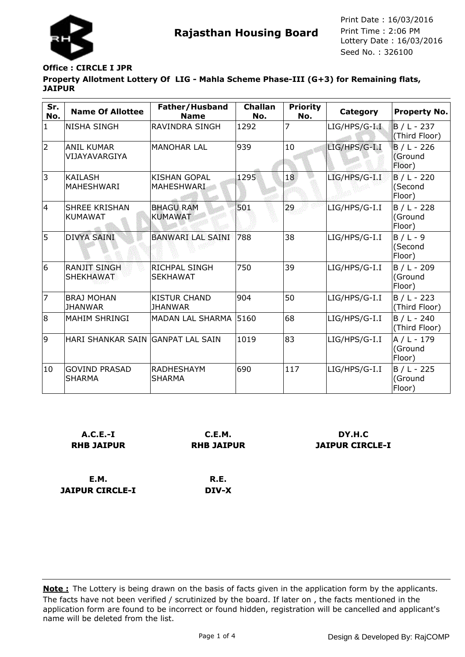

## **Office : CIRCLE I JPR**

**JAIPUR CIRCLE-I**

**Property Allotment Lottery Of LIG - Mahla Scheme Phase-III (G+3) for Remaining flats, JAIPUR**

| Sr.<br>No.     | <b>Name Of Allottee</b>                 | Father/Husband<br><b>Name</b>           | <b>Challan</b><br>No. | <b>Priority</b><br>No. | Category         | <b>Property No.</b>                |
|----------------|-----------------------------------------|-----------------------------------------|-----------------------|------------------------|------------------|------------------------------------|
| $\mathbf{1}$   | <b>NISHA SINGH</b>                      | <b>RAVINDRA SINGH</b>                   | 1292                  | 7                      | $LIG/HPS/G-I.I.$ | $B/L - 237$<br>(Third Floor)       |
| $\overline{2}$ | <b>ANIL KUMAR</b><br>VIJAYAVARGIYA      | <b>MANOHAR LAL</b>                      | 939                   | 10                     | LIG/HPS/G-I.I    | $B / L - 226$<br>(Ground<br>Floor) |
| 3              | <b>KAILASH</b><br>MAHESHWARI            | <b>KISHAN GOPAL</b><br>MAHESHWARI       | 1295                  | 18                     | LIG/HPS/G-I.I    | $B / L - 220$<br>(Second<br>Floor) |
| 4              | <b>SHREE KRISHAN</b><br><b>KUMAWAT</b>  | <b>BHAGU RAM</b><br><b>KUMAWAT</b>      | 501                   | 29                     | LIG/HPS/G-I.I    | $B / L - 228$<br>(Ground<br>Floor) |
| 5              | <b>DIVYA SAINI</b>                      | <b>BANWARI LAL SAINI</b>                | 788                   | 38                     | LIG/HPS/G-I.I    | $B/L - 9$<br>(Second<br>Floor)     |
| 6              | <b>RANJIT SINGH</b><br><b>SHEKHAWAT</b> | <b>RICHPAL SINGH</b><br><b>SEKHAWAT</b> | 750                   | 39                     | LIG/HPS/G-I.I    | B / L - 209<br>(Ground<br>Floor)   |
| 7              | <b>BRAJ MOHAN</b><br><b>JHANWAR</b>     | <b>KISTUR CHAND</b><br><b>JHANWAR</b>   | 904                   | 50                     | LIG/HPS/G-I.I    | B / L - 223<br>(Third Floor)       |
| 8              | <b>MAHIM SHRINGI</b>                    | <b>MADAN LAL SHARMA</b>                 | 5160                  | 68                     | LIG/HPS/G-I.I    | $B / L - 240$<br>(Third Floor)     |
| 9              | HARI SHANKAR SAIN GANPAT LAL SAIN       |                                         | 1019                  | 83                     | LIG/HPS/G-I.I    | $A / L - 179$<br>(Ground<br>Floor) |
| 10             | <b>GOVIND PRASAD</b><br><b>SHARMA</b>   | <b>RADHESHAYM</b><br><b>SHARMA</b>      | 690                   | 117                    | LIG/HPS/G-I.I    | $B / L - 225$<br>(Ground<br>Floor) |

| $A.C.E.-I$        | C.E.M.            | DY.H.C                 |
|-------------------|-------------------|------------------------|
| <b>RHB JAIPUR</b> | <b>RHB JAIPUR</b> | <b>JAIPUR CIRCLE-I</b> |
|                   |                   |                        |
| E.M.              | R.E.              |                        |
|                   |                   |                        |

**DIV-X**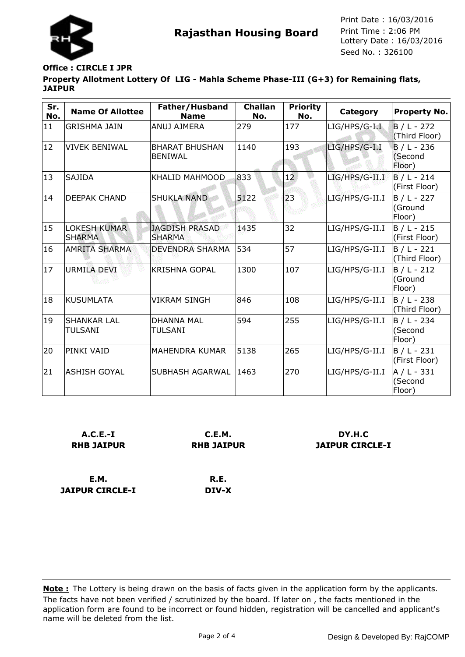

# **Office : CIRCLE I JPR**

**Property Allotment Lottery Of LIG - Mahla Scheme Phase-III (G+3) for Remaining flats, JAIPUR**

| Sr.<br>No. | <b>Name Of Allottee</b>              | Father/Husband<br><b>Name</b>           | <b>Challan</b><br>No. | <b>Priority</b><br>No. | <b>Category</b> | <b>Property No.</b>                |
|------------|--------------------------------------|-----------------------------------------|-----------------------|------------------------|-----------------|------------------------------------|
| 11         | <b>GRISHMA JAIN</b>                  | ANUJ AJMERA                             | 279                   | 177                    | LIG/HPS/G-I.I   | $B/L - 272$<br>(Third Floor)       |
| 12         | <b>VIVEK BENIWAL</b>                 | <b>BHARAT BHUSHAN</b><br><b>BENIWAL</b> | 1140                  | 193                    | LIG/HPS/G-I.I   | $B / L - 236$<br>(Second<br>Floor) |
| 13         | SAJIDA                               | <b>KHALID MAHMOOD</b>                   | 833                   | 12                     | LIG/HPS/G-II.I  | $B/L - 214$<br>(First Floor)       |
| 14         | <b>DEEPAK CHAND</b>                  | <b>SHUKLA NAND</b>                      | 5122                  | 23                     | LIG/HPS/G-II.I  | B / L - 227<br>(Ground<br>Floor)   |
| 15         | <b>LOKESH KUMAR</b><br><b>SHARMA</b> | <b>JAGDISH PRASAD</b><br><b>SHARMA</b>  | 1435                  | 32                     | LIG/HPS/G-II.I  | B / L - 215<br>(First Floor)       |
| 16         | AMRITA SHARMA                        | <b>DEVENDRA SHARMA</b>                  | 534                   | 57                     | LIG/HPS/G-II.I  | B / L - 221<br>(Third Floor)       |
| 17         | URMILA DEVI                          | <b>KRISHNA GOPAL</b>                    | 1300                  | 107                    | LIG/HPS/G-II.I  | B / L - 212<br>(Ground<br>Floor)   |
| 18         | KUSUMLATA                            | <b>VIKRAM SINGH</b>                     | 846                   | 108                    | LIG/HPS/G-II.I  | $B / L - 238$<br>(Third Floor)     |
| 19         | <b>SHANKAR LAL</b><br>TULSANI        | <b>DHANNA MAL</b><br>TULSANI            | 594                   | 255                    | LIG/HPS/G-II.I  | $B / L - 234$<br>(Second<br>Floor) |
| 20         | PINKI VAID                           | <b>MAHENDRA KUMAR</b>                   | 5138                  | 265                    | LIG/HPS/G-II.I  | B / L - 231<br>(First Floor)       |
| 21         | ASHISH GOYAL                         | SUBHASH AGARWAL                         | 1463                  | 270                    | LIG/HPS/G-II.I  | A / L - 331<br>(Second<br>Floor)   |

| $A.C.E.-I$<br><b>RHB JAIPUR</b> | C.E.M.<br><b>RHB JAIPUR</b> | DY H.C<br><b>JAIPUR CIRCLE-I</b> |
|---------------------------------|-----------------------------|----------------------------------|
| <b>E.M.</b>                     | R.E.                        |                                  |
| <b>JAIPUR CIRCLE-I</b>          | DIV-X                       |                                  |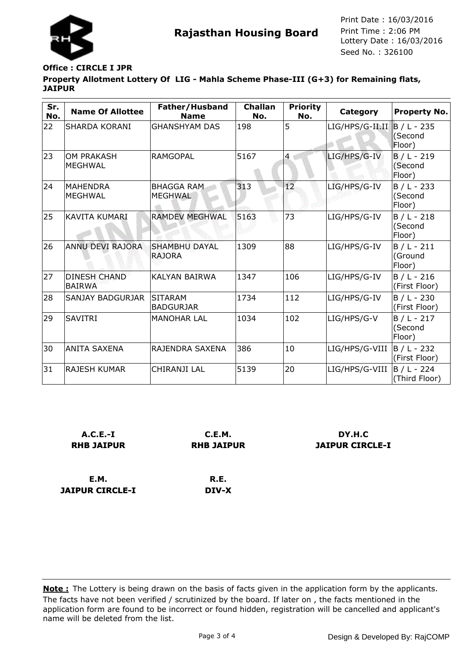

# **Office : CIRCLE I JPR**

**Property Allotment Lottery Of LIG - Mahla Scheme Phase-III (G+3) for Remaining flats, JAIPUR**

| Sr.<br>No. | <b>Name Of Allottee</b>              | Father/Husband<br><b>Name</b>         | <b>Challan</b><br>No. | <b>Priority</b><br>No. | Category        | <b>Property No.</b>                |
|------------|--------------------------------------|---------------------------------------|-----------------------|------------------------|-----------------|------------------------------------|
| 22         | <b>SHARDA KORANI</b>                 | <b>GHANSHYAM DAS</b>                  | 198                   | 5                      | LIG/HPS/G-II.II | $B/L - 235$<br>(Second<br>Floor)   |
| 23         | <b>OM PRAKASH</b><br><b>MEGHWAL</b>  | <b>RAMGOPAL</b>                       | 5167                  | 4                      | LIG/HPS/G-IV    | $B/L - 219$<br>(Second<br>Floor)   |
| 24         | <b>MAHENDRA</b><br><b>MEGHWAL</b>    | <b>BHAGGA RAM</b><br><b>MEGHWAL</b>   | 313                   | 12                     | LIG/HPS/G-IV    | $B / L - 233$<br>(Second<br>Floor) |
| 25         | KAVITA KUMARI                        | <b>RAMDEV MEGHWAL</b>                 | 5163                  | 73                     | LIG/HPS/G-IV    | $B / L - 218$<br>(Second<br>Floor) |
| 26         | <b>ANNU DEVI RAJORA</b>              | <b>SHAMBHU DAYAL</b><br><b>RAJORA</b> | 1309                  | 88                     | LIG/HPS/G-IV    | $B / L - 211$<br>(Ground<br>Floor) |
| 27         | <b>DINESH CHAND</b><br><b>BAIRWA</b> | <b>KALYAN BAIRWA</b>                  | 1347                  | 106                    | LIG/HPS/G-IV    | $B / L - 216$<br>(First Floor)     |
| 28         | <b>SANJAY BADGURJAR</b>              | <b>SITARAM</b><br><b>BADGURJAR</b>    | 1734                  | 112                    | LIG/HPS/G-IV    | $B / L - 230$<br>(First Floor)     |
| 29         | <b>SAVITRI</b>                       | <b>MANOHAR LAL</b>                    | 1034                  | 102                    | LIG/HPS/G-V     | $B / L - 217$<br>(Second<br>Floor) |
| 30         | <b>ANITA SAXENA</b>                  | RAJENDRA SAXENA                       | 386                   | 10                     | LIG/HPS/G-VIII  | B / L - 232<br>(First Floor)       |
| 31         | <b>RAJESH KUMAR</b>                  | CHIRANJI LAL                          | 5139                  | 20                     | LIG/HPS/G-VIII  | B / L - 224<br>(Third Floor)       |

| $A.C.E.-I$                     | C.E.M.            | DY H.C                 |
|--------------------------------|-------------------|------------------------|
| <b>RHB JAIPUR</b>              | <b>RHB JAIPUR</b> | <b>JAIPUR CIRCLE-I</b> |
| E.M.<br><b>JAIPUR CIRCLE-I</b> | R.E.<br>DIV-X     |                        |